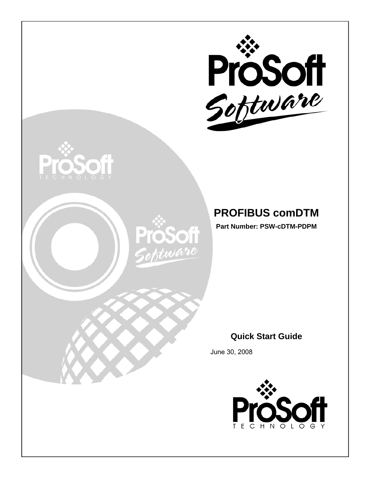





# **PROFIBUS comDTM**

**Part Number: PSW-cDTM-PDPM** 

## **Quick Start Guide**

June 30, 2008

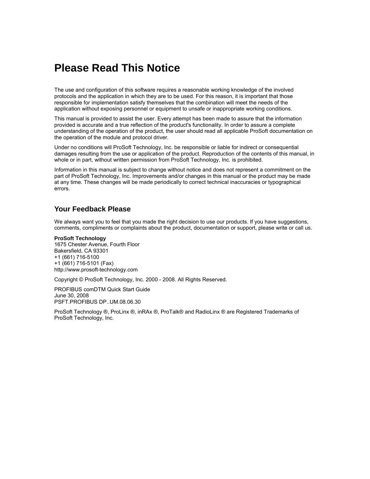## <span id="page-1-0"></span>**Please Read This Notice**

The use and configuration of this software requires a reasonable working knowledge of the involved protocols and the application in which they are to be used. For this reason, it is important that those responsible for implementation satisfy themselves that the combination will meet the needs of the application without exposing personnel or equipment to unsafe or inappropriate working conditions.

This manual is provided to assist the user. Every attempt has been made to assure that the information provided is accurate and a true reflection of the product's functionality. In order to assure a complete understanding of the operation of the product, the user should read all applicable ProSoft documentation on the operation of the module and protocol driver.

Under no conditions will ProSoft Technology, Inc. be responsible or liable for indirect or consequential damages resulting from the use or application of the product. Reproduction of the contents of this manual, in whole or in part, without written permission from ProSoft Technology, Inc. is prohibited.

Information in this manual is subject to change without notice and does not represent a commitment on the part of ProSoft Technology, Inc. Improvements and/or changes in this manual or the product may be made at any time. These changes will be made periodically to correct technical inaccuracies or typographical errors.

#### <span id="page-1-1"></span>**Your Feedback Please**

We always want you to feel that you made the right decision to use our products. If you have suggestions, comments, compliments or complaints about the product, documentation or support, please write or call us.

**ProSoft Technology**  1675 Chester Avenue, Fourth Floor Bakersfield, CA 93301 +1 (661) 716-5100 +1 (661) 716-5101 (Fax) http://www.prosoft-technology.com

Copyright © ProSoft Technology, Inc. 2000 - 2008. All Rights Reserved.

PROFIBUS comDTM Quick Start Guide June 30, 2008 PSFT.PROFIBUS DP..UM.08.06.30

ProSoft Technology ®, ProLinx ®, inRAx ®, ProTalk® and RadioLinx ® are Registered Trademarks of ProSoft Technology, Inc.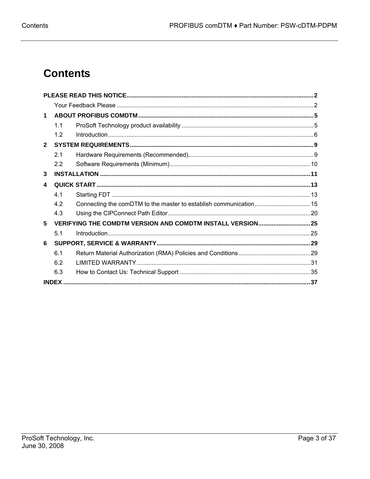# **Contents**

| 1            |              |                                                                   |  |  |  |  |
|--------------|--------------|-------------------------------------------------------------------|--|--|--|--|
|              | 1.1          |                                                                   |  |  |  |  |
|              | 1.2          |                                                                   |  |  |  |  |
| $\mathbf{2}$ |              |                                                                   |  |  |  |  |
|              | 2.1          |                                                                   |  |  |  |  |
|              | 2.2          |                                                                   |  |  |  |  |
| 3            |              |                                                                   |  |  |  |  |
| 4            |              |                                                                   |  |  |  |  |
|              | 4.1          |                                                                   |  |  |  |  |
|              | 4.2          |                                                                   |  |  |  |  |
|              | 4.3          |                                                                   |  |  |  |  |
| 5            |              | <b>VERIFYING THE COMDTM VERSION AND COMDTM INSTALL VERSION 25</b> |  |  |  |  |
|              | 5.1          |                                                                   |  |  |  |  |
| 6            |              |                                                                   |  |  |  |  |
|              | 6.1          |                                                                   |  |  |  |  |
|              | 6.2          |                                                                   |  |  |  |  |
|              | 6.3          |                                                                   |  |  |  |  |
|              | <b>INDEX</b> |                                                                   |  |  |  |  |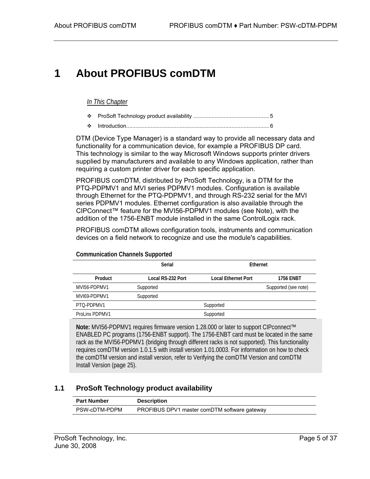# <span id="page-4-0"></span>**1 About PROFIBUS comDTM**

#### *In This Chapter*

- [ProSoft Technology product availability](#page-4-1) ..................................................[5](#page-4-1)
- [Introduction.](#page-5-0).............................................................................................[6](#page-5-0)

DTM (Device Type Manager) is a standard way to provide all necessary data and functionality for a communication device, for example a PROFIBUS DP card. This technology is similar to the way Microsoft Windows supports printer drivers supplied by manufacturers and available to any Windows application, rather than requiring a custom printer driver for each specific application.

PROFIBUS comDTM, distributed by ProSoft Technology, is a DTM for the PTQ-PDPMV1 and MVI series PDPMV1 modules. Configuration is available through Ethernet for the PTQ-PDPMV1, and through RS-232 serial for the MVI series PDPMV1 modules. Ethernet configuration is also available through the CIPConnect™ feature for the MVI56-PDPMV1 modules (see Note), with the addition of the 1756-ENBT module installed in the same ControlLogix rack.

PROFIBUS comDTM allows configuration tools, instruments and communication devices on a field network to recognize and use the module's capabilities.

|                | <b>Serial</b>     | Ethernet                   |                      |  |
|----------------|-------------------|----------------------------|----------------------|--|
| Product        | Local RS-232 Port | <b>Local Ethernet Port</b> | <b>1756 ENBT</b>     |  |
| MVI56-PDPMV1   | Supported         |                            | Supported (see note) |  |
| MVI69-PDPMV1   | Supported         |                            |                      |  |
| PTO-PDPMV1     |                   | Supported                  |                      |  |
| ProLinx PDPMV1 |                   | Supported                  |                      |  |

**Communication Channels Supported** 

**Note:** MVI56-PDPMV1 requires firmware version 1.28.000 or later to support CIPconnect™ ENABLED PC programs (1756-ENBT support). The 1756-ENBT card must be located in the same rack as the MVI56-PDPMV1 (bridging through different racks is not supported). This functionality requires comDTM version 1.0.1.5 with install version 1.01.0003. For information on how to check the comDTM version and install version, refer to Verifying the comDTM Version and comDTM Install Version (page [25\)](#page-24-0).

## **1.1 ProSoft Technology product availability**

<span id="page-4-1"></span>

| <b>Part Number</b> | <b>Description</b>                           |
|--------------------|----------------------------------------------|
| PSW-cDTM-PDPM      | PROFIBUS DPV1 master comDTM software gateway |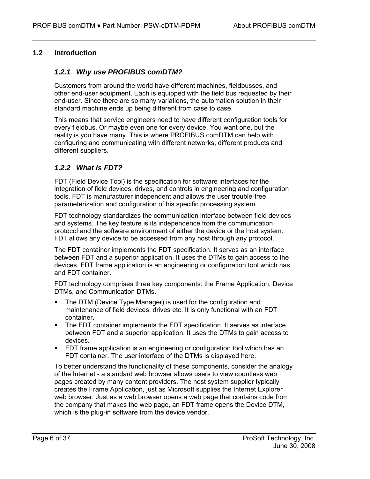## **1.2 Introduction**

## <span id="page-5-0"></span>*1.2.1 Why use PROFIBUS comDTM?*

Customers from around the world have different machines, fieldbusses, and other end-user equipment. Each is equipped with the field bus requested by their end-user. Since there are so many variations, the automation solution in their standard machine ends up being different from case to case.

This means that service engineers need to have different configuration tools for every fieldbus. Or maybe even one for every device. You want one, but the reality is you have many. This is where PROFIBUS comDTM can help with configuring and communicating with different networks, different products and different suppliers.

## *1.2.2 What is FDT?*

FDT (Field Device Tool) is the specification for software interfaces for the integration of field devices, drives, and controls in engineering and configuration tools. FDT is manufacturer independent and allows the user trouble-free parameterization and configuration of his specific processing system.

FDT technology standardizes the communication interface between field devices and systems. The key feature is its independence from the communication protocol and the software environment of either the device or the host system. FDT allows any device to be accessed from any host through any protocol.

The FDT container implements the FDT specification. It serves as an interface between FDT and a superior application. It uses the DTMs to gain access to the devices. FDT frame application is an engineering or configuration tool which has and FDT container.

FDT technology comprises three key components: the Frame Application, Device DTMs, and Communication DTMs.

- The DTM (Device Type Manager) is used for the configuration and maintenance of field devices, drives etc. It is only functional with an FDT container.
- The FDT container implements the FDT specification. It serves as interface between FDT and a superior application. It uses the DTMs to gain access to devices.
- FDT frame application is an engineering or configuration tool which has an FDT container. The user interface of the DTMs is displayed here.

To better understand the functionality of these components, consider the analogy of the Internet - a standard web browser allows users to view countless web pages created by many content providers. The host system supplier typically creates the Frame Application, just as Microsoft supplies the Internet Explorer web browser. Just as a web browser opens a web page that contains code from the company that makes the web page, an FDT frame opens the Device DTM, which is the plug-in software from the device vendor.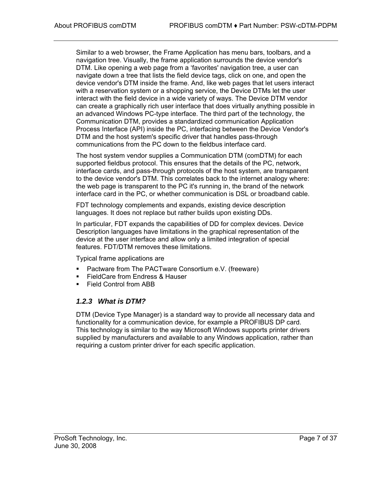Similar to a web browser, the Frame Application has menu bars, toolbars, and a navigation tree. Visually, the frame application surrounds the device vendor's DTM. Like opening a web page from a 'favorites' navigation tree, a user can navigate down a tree that lists the field device tags, click on one, and open the device vendor's DTM inside the frame. And, like web pages that let users interact with a reservation system or a shopping service, the Device DTMs let the user interact with the field device in a wide variety of ways. The Device DTM vendor can create a graphically rich user interface that does virtually anything possible in an advanced Windows PC-type interface. The third part of the technology, the Communication DTM, provides a standardized communication Application Process Interface (API) inside the PC, interfacing between the Device Vendor's DTM and the host system's specific driver that handles pass-through communications from the PC down to the fieldbus interface card.

The host system vendor supplies a Communication DTM (comDTM) for each supported fieldbus protocol. This ensures that the details of the PC, network, interface cards, and pass-through protocols of the host system, are transparent to the device vendor's DTM. This correlates back to the internet analogy where: the web page is transparent to the PC it's running in, the brand of the network interface card in the PC, or whether communication is DSL or broadband cable.

FDT technology complements and expands, existing device description languages. It does not replace but rather builds upon existing DDs.

In particular, FDT expands the capabilities of DD for complex devices. Device Description languages have limitations in the graphical representation of the device at the user interface and allow only a limited integration of special features. FDT/DTM removes these limitations.

Typical frame applications are

- **Pactware from The PACTware Consortium e.V. (freeware)**
- **FieldCare from Endress & Hauser**
- **Field Control from ABB**

#### *1.2.3 What is DTM?*

DTM (Device Type Manager) is a standard way to provide all necessary data and functionality for a communication device, for example a PROFIBUS DP card. This technology is similar to the way Microsoft Windows supports printer drivers supplied by manufacturers and available to any Windows application, rather than requiring a custom printer driver for each specific application.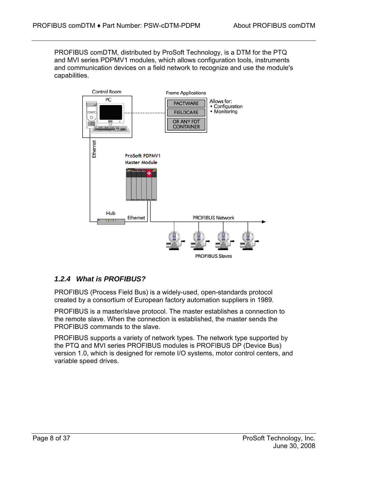PROFIBUS comDTM, distributed by ProSoft Technology, is a DTM for the PTQ and MVI series PDPMV1 modules, which allows configuration tools, instruments and communication devices on a field network to recognize and use the module's capabilities.



## *1.2.4 What is PROFIBUS?*

PROFIBUS (Process Field Bus) is a widely-used, open-standards protocol created by a consortium of European factory automation suppliers in 1989.

PROFIBUS is a master/slave protocol. The master establishes a connection to the remote slave. When the connection is established, the master sends the PROFIBUS commands to the slave.

PROFIBUS supports a variety of network types. The network type supported by the PTQ and MVI series PROFIBUS modules is PROFIBUS DP (Device Bus) version 1.0, which is designed for remote I/O systems, motor control centers, and variable speed drives.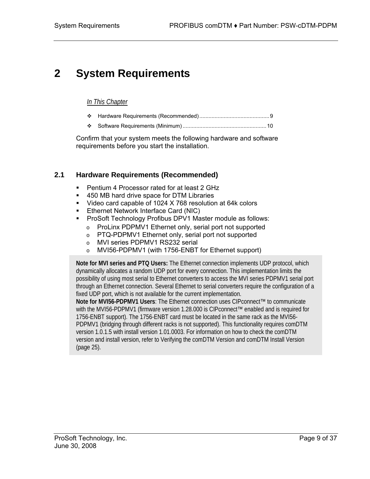# <span id="page-8-0"></span>**2 System Requirements**

#### *In This Chapter*

- [Hardware Requirements \(Recommended\).](#page-8-1).............................................[9](#page-8-1)
- [Software Requirements \(Minimum\).](#page-9-0)......................................................[10](#page-9-0)

Confirm that your system meets the following hardware and software requirements before you start the installation.

## **2.1 Hardware Requirements (Recommended)**

- <span id="page-8-1"></span>**Pentium 4 Processor rated for at least 2 GHz**
- 450 MB hard drive space for DTM Libraries
- Video card capable of 1024 X 768 resolution at 64k colors
- **Ethernet Network Interface Card (NIC)**
- **ProSoft Technology Profibus DPV1 Master module as follows:** 
	- o ProLinx PDPMV1 Ethernet only, serial port not supported
	- o PTQ-PDPMV1 Ethernet only, serial port not supported
	- o MVI series PDPMV1 RS232 serial
	- o MVI56-PDPMV1 (with 1756-ENBT for Ethernet support)

**Note for MVI series and PTQ Users:** The Ethernet connection implements UDP protocol, which dynamically allocates a random UDP port for every connection. This implementation limits the possibility of using most serial to Ethernet converters to access the MVI series PDPMV1 serial port through an Ethernet connection. Several Ethernet to serial converters require the configuration of a fixed UDP port, which is not available for the current implementation.

**Note for MVI56-PDPMV1 Users**: The Ethernet connection uses CIPconnect™ to communicate with the MVI56-PDPMV1 (firmware version 1.28.000 is CIPconnect™ enabled and is required for 1756-ENBT support). The 1756-ENBT card must be located in the same rack as the MVI56- PDPMV1 (bridging through different racks is not supported). This functionality requires comDTM version 1.0.1.5 with install version 1.01.0003. For information on how to check the comDTM version and install version, refer to Verifying the comDTM Version and comDTM Install Version (page [25\)](#page-24-0).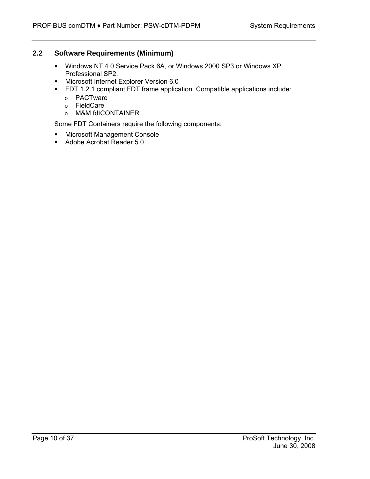## **2.2 Software Requirements (Minimum)**

- <span id="page-9-0"></span> Windows NT 4.0 Service Pack 6A, or Windows 2000 SP3 or Windows XP Professional SP2.
- **Microsoft Internet Explorer Version 6.0**
- FDT 1.2.1 compliant FDT frame application. Compatible applications include:
	- o PACTware
	- o FieldCare
	- o M&M fdtCONTAINER

Some FDT Containers require the following components:

- **KERG Microsoft Management Console**
- Adobe Acrobat Reader 5.0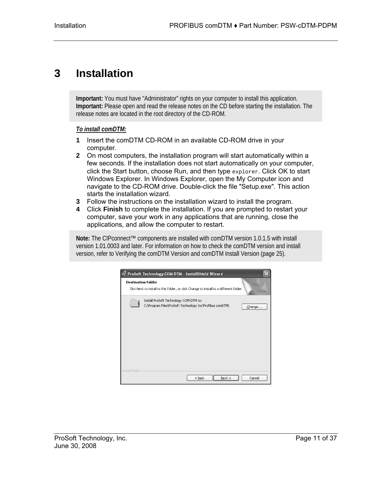# <span id="page-10-0"></span>**3 Installation**

**Important:** You must have "Administrator" rights on your computer to install this application. **Important:** Please open and read the release notes on the CD before starting the installation. The release notes are located in the root directory of the CD-ROM.

#### *To install comDTM:*

- **1** Insert the comDTM CD-ROM in an available CD-ROM drive in your computer.
- **2** On most computers, the installation program will start automatically within a few seconds. If the installation does not start automatically on your computer, click the Start button, choose Run, and then type explorer. Click OK to start Windows Explorer. In Windows Explorer, open the My Computer icon and navigate to the CD-ROM drive. Double-click the file "Setup.exe". This action starts the installation wizard.
- **3** Follow the instructions on the installation wizard to install the program.
- **4** Click **Finish** to complete the installation. If you are prompted to restart your computer, save your work in any applications that are running, close the applications, and allow the computer to restart.

**Note:** The CIPconnect™ components are installed with comDTM version 1.0.1.5 with install version 1.01.0003 and later. For information on how to check the comDTM version and install version, refer to Verifying the comDTM Version and comDTM Install Version (page [25\)](#page-24-0).

|                      | is ProSoft Technology COM-DTM - InstallShield Wizard<br><b>Destination Folder</b>                            |
|----------------------|--------------------------------------------------------------------------------------------------------------|
|                      | Click Next to install to this folder, or click Change to install to a different folder.                      |
|                      | Install ProSoft Technology COM-DTM to:<br>C:\Program Files\ProSoft Technology Inc\Profibus comDTM\<br>Change |
|                      |                                                                                                              |
|                      |                                                                                                              |
|                      |                                                                                                              |
| <b>InstallShield</b> |                                                                                                              |
|                      | $<$ Back<br>Cancel<br>Next >                                                                                 |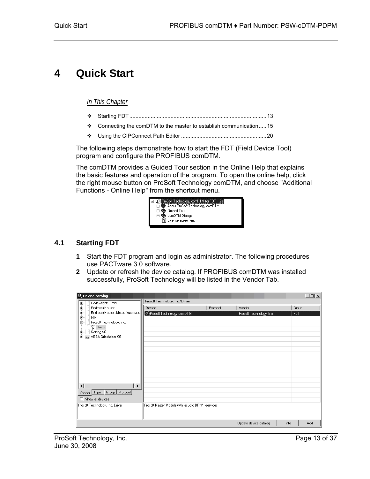# <span id="page-12-0"></span>**4 Quick Start**

#### *In This Chapter*

- [Starting FDT.](#page-12-1).........................................................................................[13](#page-12-1)
- \* [Connecting the comDTM to the master to establish communication.](#page-14-0).... 15
- [Using the CIPConnect Path Editor](#page-19-0) ........................................................[20](#page-19-0)

The following steps demonstrate how to start the FDT (Field Device Tool) program and configure the PROFIBUS comDTM.

The comDTM provides a Guided Tour section in the Online Help that explains the basic features and operation of the program. To open the online help, click the right mouse button on ProSoft Technology comDTM, and choose "Additional Functions - Online Help" from the shortcut menu.



## **4.1 Starting FDT**

- <span id="page-12-1"></span>**1** Start the FDT program and login as administrator. The following procedures use PACTware 3.0 software.
- **2** Update or refresh the device catalog. If PROFIBUS comDTM was installed successfully, ProSoft Technology will be listed in the Vendor Tab.

| <sup>161</sup> Device catalog                    |                                                   |          |                          | $-10x$      |
|--------------------------------------------------|---------------------------------------------------|----------|--------------------------|-------------|
| Codewrights GmbH<br>$\boxed{\frac{1}{\sqrt{2}}}$ | Prosoft Technology, Inc.\Driver                   |          |                          |             |
| ÷<br>Endress+Hauser                              | Device                                            | Protocol | Vendor                   | Group       |
| Ė<br>Endress+Hauser, Metso Automatio             | S Prosoft Technology comDTM                       |          | Prosoft Technology, Inc. | <b>FDT</b>  |
| MM<br>Prosoft Technology, Inc.                   |                                                   |          |                          |             |
| 드후 Driver                                        |                                                   |          |                          |             |
| Softing AG<br>里                                  |                                                   |          |                          |             |
| 中-53 VEGA Grieshaber KG                          |                                                   |          |                          |             |
|                                                  |                                                   |          |                          |             |
|                                                  |                                                   |          |                          |             |
|                                                  |                                                   |          |                          |             |
|                                                  |                                                   |          |                          |             |
|                                                  |                                                   |          |                          |             |
|                                                  |                                                   |          |                          |             |
|                                                  |                                                   |          |                          |             |
| $\lvert \cdot \rvert$<br>$\overline{ }$          |                                                   |          |                          |             |
| Group<br>Protocol<br>Type<br>Vendor              |                                                   |          |                          |             |
| Show all devices                                 |                                                   |          |                          |             |
|                                                  |                                                   |          |                          |             |
| Prosoft Technology, Inc. Driver                  | Prosoft Master Module with acyclic DP/V1-services |          |                          |             |
|                                                  |                                                   |          |                          |             |
|                                                  |                                                   |          | Update device catalog    | Info<br>Add |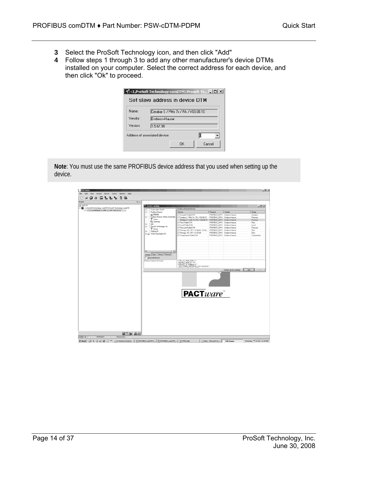- **3** Select the ProSoft Technology icon, and then click "Add"
- **4** Follow steps 1 through 3 to add any other manufacturer's device DTMs installed on your computer. Select the correct address for each device, and then click "Ok" to proceed.

| Name:    |                | Cerabar S / PMx 7x / PA / V03.00.10 |  |  |  |
|----------|----------------|-------------------------------------|--|--|--|
| Vendor   | Endress+Hauser |                                     |  |  |  |
| Version: | 1.5.67.90      |                                     |  |  |  |

**Note**: You must use the same PROFIBUS device address that you used when setting up the device.

| 进 HOST PC<br>El CI, ProSoft Technology comDTM>Prosoft Technology comDTM | <sup>12</sup> . Device catalog                                                                                   | Endress+Hauser/Davice                                                     |                              |                       | $-10x$       |
|-------------------------------------------------------------------------|------------------------------------------------------------------------------------------------------------------|---------------------------------------------------------------------------|------------------------------|-----------------------|--------------|
| [27] [*] <2>Deltabar 5 / xMD 7x / PA (103.00.10                         | Codewrights GmbH<br>×<br>Endwar-Hauser                                                                           | Device                                                                    | Protocol                     | Vendor                | Group        |
|                                                                         | ė<br>Device                                                                                                      | <b>ET Actuator Profile DTM</b>                                            | PROFIBUS DPV1 Enders+Hauser  |                       | Actuator     |
|                                                                         | e-                                                                                                               | Endeco+Hauser, Metop Automatio   (ET Cerabar S / PMx 7x / PA / V03.00.10) | PROFIBUS DPV1 Endeco+Hauset  |                       | Ришли        |
|                                                                         | <b>T</b> Diver                                                                                                   | CT Deltabar S / xMD 7x / PA / V03.00.10                                   | PROFIBUS_DPV1 Enders+Hauser  |                       | Pleasure:    |
|                                                                         | <b>Rid Gateway</b>                                                                                               | <b>CT Flow Profile DTM</b>                                                | PROFIBUS_DPV1 Endess+Hauset  |                       | Flow         |
|                                                                         | MM<br>ė-l                                                                                                        | <b>CT Level Profile DTM</b>                                               | PROFIBUS DPV1 Enders+Hauser  |                       | Level        |
|                                                                         | Prosoft Technology, Inc.<br>ė.<br><sup>T</sup> Driver                                                            | LCT Precrues Profile DTM                                                  | PROFIBUS DPV1 Endess+Hauser  |                       | Passage      |
|                                                                         | B- Saling AG                                                                                                     | ET Promag / 53 / DP / V2.00.01 V2.02                                      | PROFIBUS_DPV1 Enders+Hauser  |                       | Flow         |
|                                                                         | E- No. VEGA Griechsber KG                                                                                        | CT Promag / 53 / DP / V2.03.00                                            | PROFIBUS_DPV1 Endests+Hauset |                       | Flow         |
|                                                                         |                                                                                                                  | <b>CT</b> Temperature Profile DTM                                         | PROFIBUS DPV1 Enders+Hauser  |                       | Temperature  |
|                                                                         | $\vert \cdot \vert$<br>$\mathbf{H}$<br>Vendor Type Group Protocol<br>Show all devices<br>Endnes-Hauser Device(s) | " <pa 0101="" 11="" 1542="">."<br/>"DEVICE_MAN_ID:17."</pa>               |                              |                       |              |
|                                                                         |                                                                                                                  | "DEVICE" D: Delabar S."<br>"SOFTWARE_REVISION_LIST::03.00.10,""           |                              | Update gevice catalog | 681<br>Info. |
|                                                                         |                                                                                                                  |                                                                           |                              |                       |              |
|                                                                         |                                                                                                                  | <b>PACT</b> ware                                                          |                              |                       |              |
|                                                                         |                                                                                                                  |                                                                           |                              |                       |              |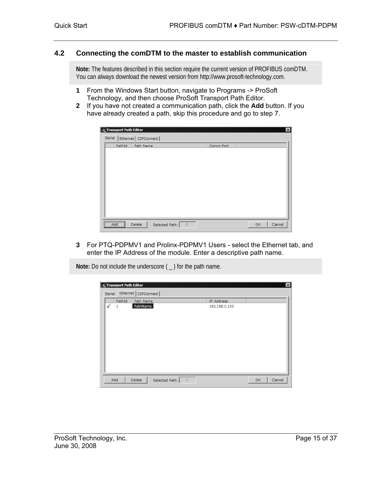#### **4.2 Connecting the comDTM to the master to establish communication**

<span id="page-14-0"></span>**Note:** The features described in this section require the current version of PROFIBUS comDTM. You can always download the newest version from http://www.prosoft-technology.com.

- **1** From the Windows Start button, navigate to Programs -> ProSoft Technology, and then choose ProSoft Transport Path Editor.
- **2** If you have not created a communication path, click the **Add** button. If you have already created a path, skip this procedure and go to step 7.

|        | Transport Path Editor                                |                       |                |         |           |    | $\vert x \vert$ |
|--------|------------------------------------------------------|-----------------------|----------------|---------|-----------|----|-----------------|
| Serial |                                                      | Ethernet   CIPConnect |                |         |           |    |                 |
|        | PathId                                               | Path Name             |                |         | Comm Port |    |                 |
|        |                                                      |                       |                |         |           |    |                 |
|        |                                                      |                       |                |         |           |    |                 |
|        |                                                      |                       |                |         |           |    |                 |
|        |                                                      |                       |                |         |           |    |                 |
|        |                                                      |                       |                |         |           |    |                 |
|        |                                                      |                       |                |         |           |    |                 |
|        |                                                      |                       |                |         |           |    |                 |
|        |                                                      |                       |                |         |           |    |                 |
|        |                                                      |                       |                |         |           |    |                 |
|        |                                                      |                       |                |         |           |    |                 |
|        | $\overline{\Box}$ Add $\overline{\Box}$<br><u> ^</u> | Delete                | Selected Path: | $\circ$ |           | OK | Cancel          |

**3** For PTQ-PDPMV1 and Prolinx-PDPMV1 Users - select the Ethernet tab, and enter the IP Address of the module. Enter a descriptive path name.

**Note:** Do not include the underscore ( \_ ) for the path name.

| Serial | Transport Path Editor | Ethernet   CIPConnect                      |               | $\vert x \vert$ |
|--------|-----------------------|--------------------------------------------|---------------|-----------------|
|        | PathId                | Path Name                                  | IP Address    |                 |
| ✓      | $1\,$                 | PathName                                   | 192.168.0.100 |                 |
|        |                       |                                            |               |                 |
|        |                       |                                            |               |                 |
|        |                       |                                            |               |                 |
|        |                       |                                            |               |                 |
|        |                       |                                            |               |                 |
|        | Add                   | $\overline{1}$<br>Delete<br>Selected Path: |               | Cancel<br>OK    |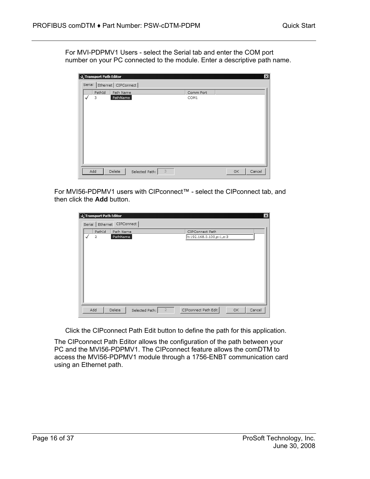For MVI-PDPMV1 Users - select the Serial tab and enter the COM port number on your PC connected to the module. Enter a descriptive path name.

|              | Transport Path Editor |                               |           | $\vert x \vert$ |
|--------------|-----------------------|-------------------------------|-----------|-----------------|
| Serial       |                       | Ethernet   CIPConnect         |           |                 |
|              | PathId                | Path Name                     | Comm Port |                 |
| $\checkmark$ | 3                     | PathName                      | COM1      |                 |
|              | Add                   | 3<br>Delete<br>Selected Path: |           | Cancel<br>OK    |

For MVI56-PDPMV1 users with CIPconnect™ - select the CIPconnect tab, and then click the **Add** button.

| Transport Path Editor<br>$\vert x \vert$<br>Serial Ethernet CIPConnect |                          |                       |                |                |                                            |    |        |  |
|------------------------------------------------------------------------|--------------------------|-----------------------|----------------|----------------|--------------------------------------------|----|--------|--|
| ✓                                                                      | PathId<br>$\overline{2}$ | Path Name<br>PathName |                |                | CIPConnect Path<br>t:192.168.0.100,p:1,s:3 |    |        |  |
|                                                                        | Add                      | Delete                | Selected Path: | $\overline{2}$ | CIPconnect Path Edit                       | OK | Cancel |  |

Click the CIPconnect Path Edit button to define the path for this application.

The CIPconnect Path Editor allows the configuration of the path between your PC and the MVI56-PDPMV1. The CIPconnect feature allows the comDTM to access the MVI56-PDPMV1 module through a 1756-ENBT communication card using an Ethernet path.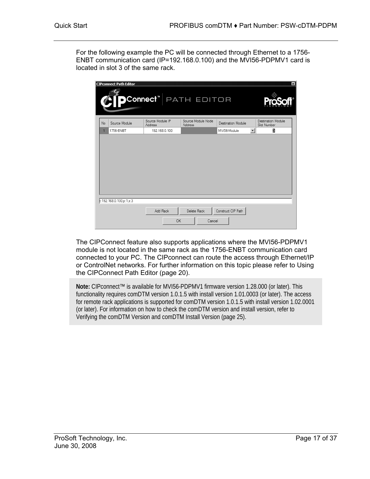For the following example the PC will be connected through Ethernet to a 1756- ENBT communication card (IP=192.168.0.100) and the MVI56-PDPMV1 card is located in slot 3 of the same rack.

|    | <b>CIPconnect Path Editor</b> | DConnect"  path editor      |                               |                    | $\vert x \vert$                   |
|----|-------------------------------|-----------------------------|-------------------------------|--------------------|-----------------------------------|
| No | Source Module                 | Source Module IP<br>Address | Source Module Node<br>Address | Destination Module | Destination Module<br>Slot Number |
| 1  | 1756-ENBT                     | 192.168.0.100               |                               | MVI56-Module       | $\overline{\phantom{a}}$<br>3     |
|    |                               |                             |                               |                    |                                   |
|    | t:192.168.0.100,p:1,s:3       | Add Rack<br>OK              | Delete Rack<br>Cancel         | Construct CIP Path |                                   |

The CIPConnect feature also supports applications where the MVI56-PDPMV1 module is not located in the same rack as the 1756-ENBT communication card connected to your PC. The CIPconnect can route the access through Ethernet/IP or ControlNet networks. For further information on this topic please refer to Using the CIPConnect Path Editor (page [20\)](#page-19-0).

**Note:** CIPconnect™ is available for MVI56-PDPMV1 firmware version 1.28.000 (or later). This functionality requires comDTM version 1.0.1.5 with install version 1.01.0003 (or later). The access for remote rack applications is supported for comDTM version 1.0.1.5 with install version 1.02.0001 (or later). For information on how to check the comDTM version and install version, refer to Verifying the comDTM Version and comDTM Install Version (page [25\)](#page-24-0).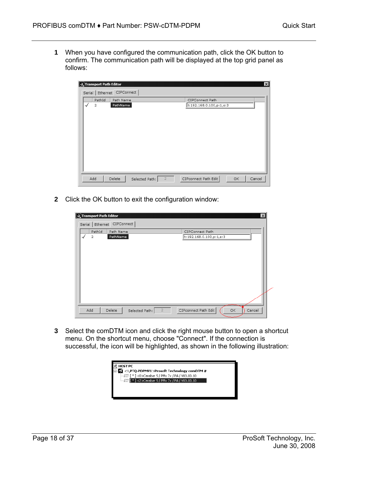**1** When you have configured the communication path, click the OK button to confirm. The communication path will be displayed at the top grid panel as follows:

|   | Transport Path Editor |                            |                |                |                                |           | $\vert x \vert$ |
|---|-----------------------|----------------------------|----------------|----------------|--------------------------------|-----------|-----------------|
|   |                       | Serial Ethernet CIPConnect |                |                |                                |           |                 |
|   | PathId                | Path Name                  |                |                | CIPConnect Path                |           |                 |
| ✓ | 2                     | PathName                   |                |                | [t: 192.168.0.100, p: 1, s: 3] |           |                 |
|   |                       |                            |                |                |                                |           |                 |
|   |                       |                            |                |                |                                |           |                 |
|   |                       |                            |                |                |                                |           |                 |
|   |                       |                            |                |                |                                |           |                 |
|   |                       |                            |                |                |                                |           |                 |
|   |                       |                            |                |                |                                |           |                 |
|   |                       |                            |                |                |                                |           |                 |
|   |                       |                            |                |                |                                |           |                 |
|   |                       |                            |                |                |                                |           |                 |
|   | Add                   | Delete                     | Selected Path: | $\overline{2}$ | CIPconnect Path Edit           | <b>OK</b> | Cancel          |
|   |                       |                            |                |                |                                |           |                 |

**2** Click the OK button to exit the configuration window:

|   | Transport Path Editor    | Serial Ethernet CIPConnect |                |                |                                            |           | $\vert x \vert$ |
|---|--------------------------|----------------------------|----------------|----------------|--------------------------------------------|-----------|-----------------|
| ✓ | PathId<br>$\overline{2}$ | Path Name<br>PathName      |                |                | CIPConnect Path<br>t:192.168.0.100,p:1,s:3 |           |                 |
|   |                          |                            |                |                |                                            |           |                 |
|   |                          |                            |                |                |                                            |           |                 |
|   |                          |                            |                |                |                                            |           |                 |
|   | Add                      | Delete                     | Selected Path: | $\overline{2}$ | CIPconnect Path Edit                       | <b>OK</b> | Cancel          |

**3** Select the comDTM icon and click the right mouse button to open a shortcut menu. On the shortcut menu, choose "Connect". If the connection is successful, the icon will be highlighted, as shown in the following illustration:

| <b>HOST PC</b>                                           |  |
|----------------------------------------------------------|--|
| $\blacksquare$ <1,PTQ-PDPMV1>Prosoft Technology comDTM # |  |
|                                                          |  |
| <b>E</b> [#] [*] <2>Cerabar S / PMx 7x / PA / V03.00.10  |  |
|                                                          |  |
|                                                          |  |
|                                                          |  |
|                                                          |  |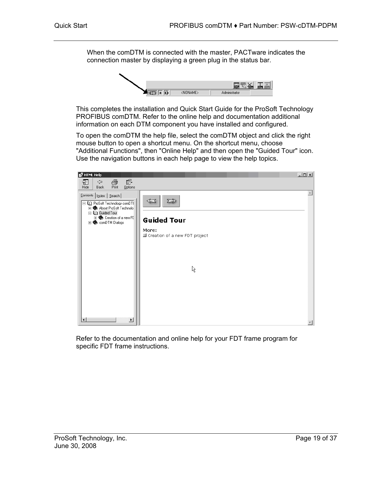When the comDTM is connected with the master, PACTware indicates the connection master by displaying a green plug in the status bar.



This completes the installation and Quick Start Guide for the ProSoft Technology PROFIBUS comDTM. Refer to the online help and documentation additional information on each DTM component you have installed and configured.

To open the comDTM the help file, select the comDTM object and click the right mouse button to open a shortcut menu. On the shortcut menu, choose "Additional Functions", then "Online Help" and then open the "Guided Tour" icon. Use the navigation buttons in each help page to view the help topics.



Refer to the documentation and online help for your FDT frame program for specific FDT frame instructions.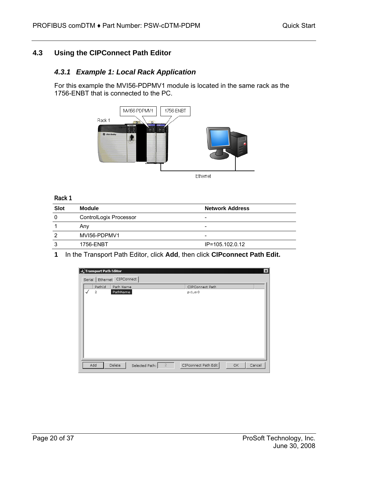## **4.3 Using the CIPConnect Path Editor**

## <span id="page-19-0"></span>*4.3.1 Example 1: Local Rack Application*

For this example the MVI56-PDPMV1 module is located in the same rack as the 1756-ENBT that is connected to the PC.



**Rack 1** 

| <b>Slot</b> | <b>Module</b>          | <b>Network Address</b>   |
|-------------|------------------------|--------------------------|
| 0           | ControlLogix Processor | -                        |
|             | Anv                    | $\overline{\phantom{0}}$ |
| 2           | MVI56-PDPMV1           | -                        |
| 3           | 1756-ENBT              | IP=105.102.0.12          |

**1** In the Transport Path Editor, click **Add**, then click **CIPconnect Path Edit.**

| Transport Path Editor<br>$\vert x \vert$ |                |                            |                |                |                      |     |        |  |  |  |  |
|------------------------------------------|----------------|----------------------------|----------------|----------------|----------------------|-----|--------|--|--|--|--|
|                                          |                | Serial Ethernet CIPConnect |                |                |                      |     |        |  |  |  |  |
|                                          | PathId         | Path Name                  |                |                | CIPConnect Path      |     |        |  |  |  |  |
| √                                        | $\overline{2}$ | PathName                   |                |                | p:1,s:0              |     |        |  |  |  |  |
|                                          |                |                            |                |                |                      |     |        |  |  |  |  |
|                                          |                |                            |                |                |                      |     |        |  |  |  |  |
|                                          |                |                            |                |                |                      |     |        |  |  |  |  |
|                                          |                |                            |                |                |                      |     |        |  |  |  |  |
|                                          |                |                            |                |                |                      |     |        |  |  |  |  |
|                                          |                |                            |                |                |                      |     |        |  |  |  |  |
|                                          |                |                            |                |                |                      |     |        |  |  |  |  |
|                                          |                |                            |                |                |                      |     |        |  |  |  |  |
|                                          |                |                            |                |                |                      |     |        |  |  |  |  |
|                                          |                |                            |                | $\overline{2}$ | CIPconnect Path Edit |     |        |  |  |  |  |
|                                          | Add            | Delete                     | Selected Path: |                |                      | OK. | Cancel |  |  |  |  |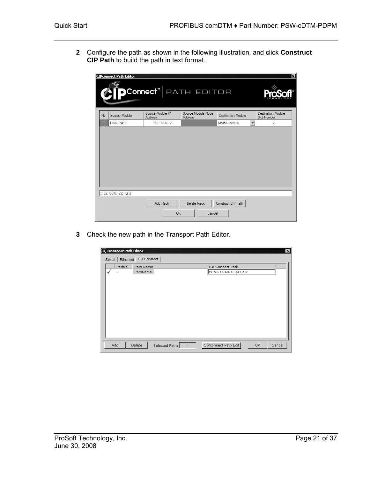**2** Configure the path as shown in the following illustration, and click **Construct CIP Path** to build the path in text format.

|    | <b>CIPconnect Path Editor</b> |                                  |                               |                    | 図                                 |
|----|-------------------------------|----------------------------------|-------------------------------|--------------------|-----------------------------------|
|    |                               | Connect <sup>®</sup> PATH EDITOR |                               |                    |                                   |
| No | Source Module                 | Source Module IP<br>Address      | Source Module Node<br>Address | Destination Module | Destination Module<br>Slot Number |
|    | 1756-ENBT                     | 192.168.0.12                     |                               | MVI56-Module       | ᅬ<br>$\overline{c}$               |
|    |                               |                                  |                               |                    |                                   |
|    | t:192.168.0.12,p:1,s:2        | Add Rack<br>OK                   | Delete Rack<br>Cancel         | Construct CIP Path |                                   |

**3** Check the new path in the Transport Path Editor.

|   | Transport Path Editor | Serial Ethernet CIPConnect |                |                |                                           |           | $\vert x \vert$ |
|---|-----------------------|----------------------------|----------------|----------------|-------------------------------------------|-----------|-----------------|
| ✓ | PathId<br>2           | Path Name<br>PathName      |                |                | CIPConnect Path<br>t:192.168.0.12,p:1,s:2 |           |                 |
|   | Add                   | Delete                     | Selected Path: | $\overline{2}$ | CIPconnect Path Edit                      | <b>OK</b> | Cancel          |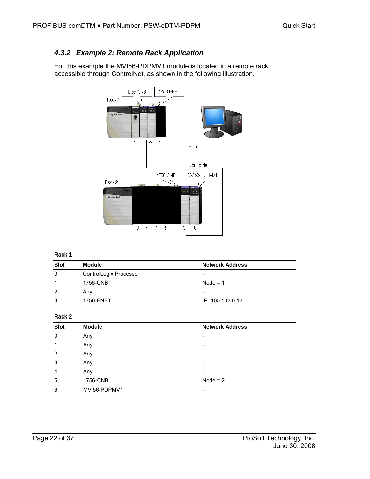## *4.3.2 Example 2: Remote Rack Application*

For this example the MVI56-PDPMV1 module is located in a remote rack accessible through ControlNet, as shown in the following illustration.



#### **Rack 1**

| <b>Slot</b> | Module                 | <b>Network Address</b> |
|-------------|------------------------|------------------------|
| 0           | ControlLogix Processor |                        |
|             | 1756-CNB               | Node = $1$             |
| 2           | Any                    | -                      |
| 3           | 1756-ENBT              | IP=105.102.0.12        |

#### **Rack 2**

| <b>Slot</b>    | <b>Module</b> | <b>Network Address</b> |
|----------------|---------------|------------------------|
| $\mathbf 0$    | Any           |                        |
| 1              | Any           |                        |
| 2              | Any           |                        |
| 3              | Any           |                        |
| $\overline{4}$ | Any           |                        |
| 5              | 1756-CNB      | Node = $2$             |
| 6              | MVI56-PDPMV1  |                        |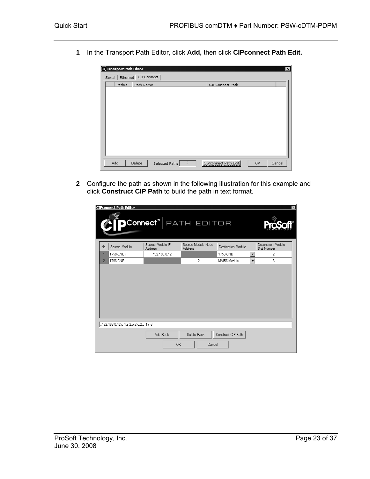**1** In the Transport Path Editor, click **Add,** then click **CIPconnect Path Edit.**

| Transport Path Editor        |                                  |                      | $\vert x \vert$ |
|------------------------------|----------------------------------|----------------------|-----------------|
| Serial   Ethernet CIPConnect |                                  |                      |                 |
| PathId                       | Path Name                        | CIPConnect Path      |                 |
|                              |                                  |                      |                 |
|                              |                                  |                      |                 |
|                              |                                  |                      |                 |
|                              |                                  |                      |                 |
|                              |                                  |                      |                 |
|                              |                                  |                      |                 |
|                              |                                  |                      |                 |
|                              |                                  |                      |                 |
|                              |                                  |                      |                 |
|                              |                                  |                      |                 |
|                              |                                  |                      |                 |
| Add<br>Delete                | $\overline{2}$<br>Selected Path: | CIPconnect Path Edit | Cancel<br>OK    |
|                              |                                  |                      |                 |

**2** Configure the path as shown in the following illustration for this example and click **Construct CIP Path** to build the path in text format.

|                | <b>CIPconnect Path Editor</b>          | DConnect" PATH Editor       |                               |                    |                                   |
|----------------|----------------------------------------|-----------------------------|-------------------------------|--------------------|-----------------------------------|
| No             | Source Module                          | Source Module IP<br>Address | Source Module Node<br>Address | Destination Module | Destination Module<br>Slot Number |
| 1              | 1756-ENBT                              | 192.168.0.12                |                               | 1756-CNB           | $\overline{\phantom{a}}$<br>2     |
| $\overline{2}$ | 1756-CNB                               |                             | $\overline{2}$                | MVI56-Module       | $\overline{\phantom{a}}$<br>6     |
|                |                                        |                             |                               |                    |                                   |
|                | t:192.168.0.12.p:1,s:2,p:2,c:2,p:1,s:6 |                             |                               |                    |                                   |
|                |                                        | Add Rack                    | Delete Rack                   | Construct CIP Path |                                   |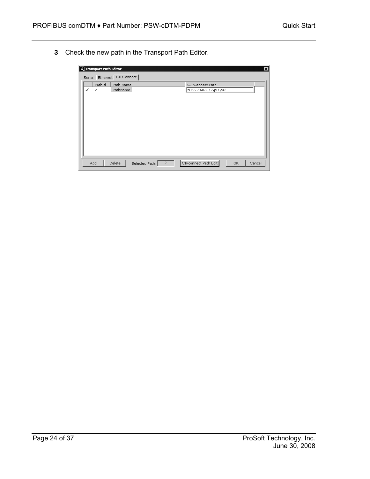**3** Check the new path in the Transport Path Editor.

|                            |   | Transport Path Editor |                       |                |                |                                           |           | $\vert x \vert$ |  |
|----------------------------|---|-----------------------|-----------------------|----------------|----------------|-------------------------------------------|-----------|-----------------|--|
| Serial Ethernet CIPConnect |   |                       |                       |                |                |                                           |           |                 |  |
|                            | ✓ | PathId<br>2           | Path Name<br>PathName |                |                | CIPConnect Path<br>t:192.168.0.12,p:1,s:2 |           |                 |  |
|                            |   | Add                   | Delete                | Selected Path: | $\overline{2}$ | CIPconnect Path Edit                      | <b>OK</b> | Cancel          |  |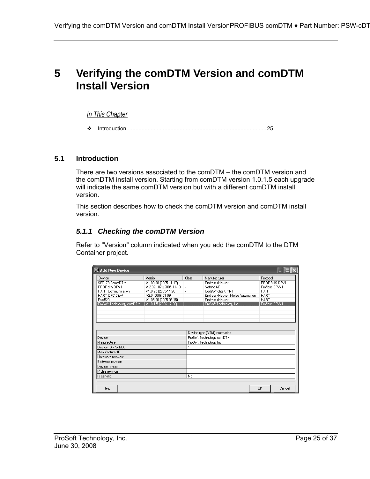## <span id="page-24-0"></span>**5 Verifying the comDTM Version and comDTM Install Version**

#### *In This Chapter*

[Introduction.](#page-24-1)...........................................................................................[25](#page-24-1) 

#### **5.1 Introduction**

<span id="page-24-1"></span>There are two versions associated to the comDTM – the comDTM version and the comDTM install version. Starting from comDTM version 1.0.1.5 each upgrade will indicate the same comDTM version but with a different comDTM install version.

This section describes how to check the comDTM version and comDTM install version.

#### *5.1.1 Checking the comDTM Version*

Refer to "Version" column indicated when you add the comDTM to the DTM Container project.

| FL Add New Device                                 |                                                     |                               |                                  |             |                                 |  |
|---------------------------------------------------|-----------------------------------------------------|-------------------------------|----------------------------------|-------------|---------------------------------|--|
| Device                                            | Version                                             | Class                         | Manufacturer                     | Protocol    |                                 |  |
| SFC173 CommDTM<br>PROFIdtm DPV1                   | V1.00.08 (2005-11-17)<br>V 2.02(107) (2005-11-10) - |                               | Endress+Hauser<br>Softing AG     |             | PROFIBUS DPV1<br>Profibus DP/V1 |  |
| <b>HART</b> Communication                         | V1.0.22 (2005-11-28)                                |                               | CodeWrights GmbH                 | <b>HART</b> |                                 |  |
| HART OPC Client                                   | V2.0 (2006-01-09)                                   |                               | Endress+Hauser, Metso Automation | <b>HART</b> |                                 |  |
| FXA520                                            | V1.05.00 (2005-09-15)                               |                               | Endress+Hauser                   | <b>HART</b> |                                 |  |
| ProSoft Technology.comDTM   V1.0.1.5 (2006-12-20) |                                                     | н                             | ProSoft Technology Inc.          |             | Profibus DP/V1                  |  |
|                                                   |                                                     |                               |                                  |             |                                 |  |
|                                                   |                                                     |                               |                                  |             |                                 |  |
|                                                   |                                                     |                               |                                  |             |                                 |  |
|                                                   |                                                     |                               |                                  |             |                                 |  |
|                                                   |                                                     |                               |                                  |             |                                 |  |
|                                                   |                                                     | Device type (DTM) information |                                  |             |                                 |  |
| Device:                                           |                                                     |                               | ProSoft Technology comDTM        |             |                                 |  |
| Manufacturer:                                     |                                                     |                               | ProSoft Technology Inc.          |             |                                 |  |
| Device ID / SubID:                                |                                                     |                               |                                  |             |                                 |  |
| Manufacturer ID:                                  |                                                     |                               |                                  |             |                                 |  |
| Hardware revision:                                |                                                     |                               |                                  |             |                                 |  |
| Software revision:                                |                                                     |                               |                                  |             |                                 |  |
| Device revision:                                  |                                                     |                               |                                  |             |                                 |  |
| Profile revision:                                 |                                                     |                               |                                  |             |                                 |  |
| Is generic:                                       |                                                     |                               | No                               |             |                                 |  |
|                                                   |                                                     |                               |                                  |             |                                 |  |
| Help                                              |                                                     |                               |                                  | OK          | Cancel                          |  |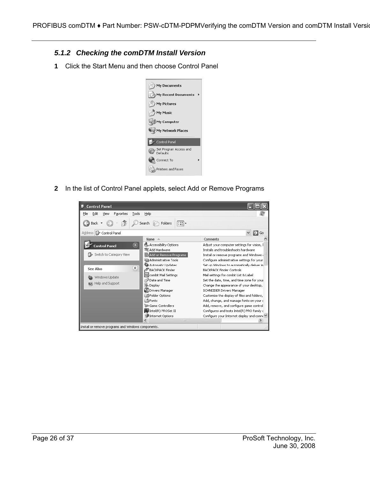- *5.1.2 Checking the comDTM Install Version*
- **1** Click the Start Menu and then choose Control Panel



**2** In the list of Control Panel applets, select Add or Remove Programs

| <b>Control Panel</b>                                    |                                                |                                                                                      |  |  |
|---------------------------------------------------------|------------------------------------------------|--------------------------------------------------------------------------------------|--|--|
| File<br>Edit<br>Favorites<br>Tools<br>View              | Help                                           |                                                                                      |  |  |
| Back                                                    | Folders<br>m<br>Search                         |                                                                                      |  |  |
| Address <b>&amp;</b> Control Panel                      |                                                | Go                                                                                   |  |  |
|                                                         | Name<br>스                                      | Comments                                                                             |  |  |
| $\boldsymbol{\hat{\mathsf{x}}}$<br><b>Control Panel</b> | Accessibility Options<br>Add Hardware          | Adjust your computer settings for vision, I<br>Installs and troubleshoots hardware   |  |  |
| Switch to Category View                                 | Add or Remove Programs<br>Administrative Tools | Install or remove programs and Windows<br>Configure administrative settings for your |  |  |
| $\hat{\mathbf{x}}$<br>See Also                          | Automatic Updates<br>FBACKPACK Finder          | Set up Windows to automatically deliver in<br><b>BACKPACK Finder Controls</b>        |  |  |
| Windows Update                                          | combit Mail Settings                           | Mail settings for combit List & Label                                                |  |  |
| Date and Time<br>(2) Help and Support                   |                                                | Set the date, time, and time zone for your                                           |  |  |
|                                                         | Display<br><b>Mill</b> Drivers Manager         | Change the appearance of your desktop,                                               |  |  |
|                                                         | Folder Options                                 | SCHNEIDER Drivers Manager<br>Customize the display of files and folders,             |  |  |
|                                                         | <b>Extra</b> Fonts                             | Add, change, and manage fonts on your c                                              |  |  |
|                                                         | Game Controllers                               | Add, remove, and configure game control                                              |  |  |
|                                                         | Intel(R) PROSet II                             | Configures and tests Intel(R) PRO family (                                           |  |  |
| Internet Options                                        |                                                | Configure your Internet display and conn∈ M                                          |  |  |
|                                                         | <b>IIII</b>                                    |                                                                                      |  |  |
| Install or remove programs and Windows components.      |                                                |                                                                                      |  |  |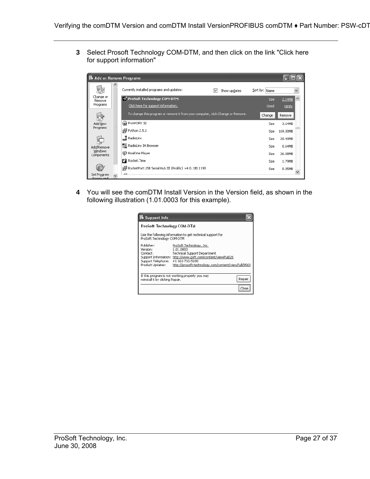**3** Select Prosoft Technology COM-DTM, and then click on the link "Click here for support information"

| Add or Remove Programs            |                                                                                 |               |                       |   |
|-----------------------------------|---------------------------------------------------------------------------------|---------------|-----------------------|---|
|                                   | Currently installed programs and updates:<br>Show updates<br>V                  | Sort by: Name |                       |   |
| Change or<br>Remove               | To ProSoft Technology COM-DTM                                                   |               | 2.14MB<br>Size:       | Ą |
| Programs                          | Click here for support information.                                             |               | Used<br>rarely.       |   |
|                                   | To change this program or remove it from your computer, click Change or Remove. | Change        | Remove                |   |
| Add New                           | <b>RoWORX 32</b>                                                                |               | Size<br>3.64MB        |   |
| Programs                          | in Python 2.5.1                                                                 |               | 169.00MB<br>Size      |   |
|                                   | $\Box$ RadioLinx                                                                |               | Size<br>20.40MB       |   |
| Add/Remove                        | - RadioLinx IH Browser                                                          |               | <b>Size</b><br>0.64MB |   |
| Windows<br>Components             | RealOne Player                                                                  |               | Size<br>26.08MB       |   |
|                                   | Rocket.Time                                                                     |               | Size<br>1.79MB        |   |
|                                   | RocketPort USB Serial Hub III (Prolific) v4.0.100.1190                          |               | 0.05MB<br>Size        |   |
| Set Program<br><u> Accocc and</u> |                                                                                 |               |                       |   |

**4** You will see the comDTM Install Version in the Version field, as shown in the following illustration (1.01.0003 for this example).

| ProSoft Technology COM-DTM                                                   |                                                                                                                                                                                                                          |
|------------------------------------------------------------------------------|--------------------------------------------------------------------------------------------------------------------------------------------------------------------------------------------------------------------------|
| ProSoft Technology COM-DTM                                                   | Use the following information to get technical support for                                                                                                                                                               |
| Publisher:<br>Version:<br>Contact:<br>Support Telephone:<br>Product Updates: | ProSoft Technology, Inc.<br>1.01.0003<br><b>Technical Support Department</b><br>Support Information: http://www.psft.com/content/view/full/26<br>+1 661-716-5100<br>http://prosoft-technology.com/content/view/full/9563 |
| reinstall it by clicking Repair.                                             | If this program is not working properly you may<br>Repair                                                                                                                                                                |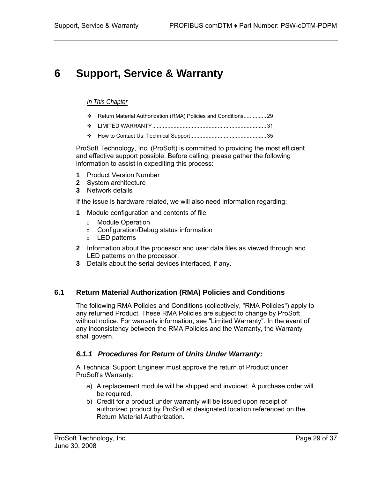# <span id="page-28-0"></span>**6 Support, Service & Warranty**

#### *In This Chapter*

- [Return Material Authorization \(RMA\) Policies and Conditions..](#page-28-1).............[29](#page-28-1)
- [LIMITED WARRANTY.](#page-30-0)..........................................................................[31](#page-30-0)
- [How to Contact Us: Technical Support.](#page-34-0).................................................[35](#page-34-0)

ProSoft Technology, Inc. (ProSoft) is committed to providing the most efficient and effective support possible. Before calling, please gather the following information to assist in expediting this process:

- **1** Product Version Number
- **2** System architecture
- **3** Network details

If the issue is hardware related, we will also need information regarding:

- **1** Module configuration and contents of file
	- o Module Operation
	- o Configuration/Debug status information
	- o LED patterns
- **2** Information about the processor and user data files as viewed through and LED patterns on the processor.
- **3** Details about the serial devices interfaced, if any.

## **6.1 Return Material Authorization (RMA) Policies and Conditions**

<span id="page-28-1"></span>The following RMA Policies and Conditions (collectively, "RMA Policies") apply to any returned Product. These RMA Policies are subject to change by ProSoft without notice. For warranty information, see "Limited Warranty". In the event of any inconsistency between the RMA Policies and the Warranty, the Warranty shall govern.

## *6.1.1 Procedures for Return of Units Under Warranty:*

A Technical Support Engineer must approve the return of Product under ProSoft's Warranty:

- a) A replacement module will be shipped and invoiced. A purchase order will be required.
- b) Credit for a product under warranty will be issued upon receipt of authorized product by ProSoft at designated location referenced on the Return Material Authorization.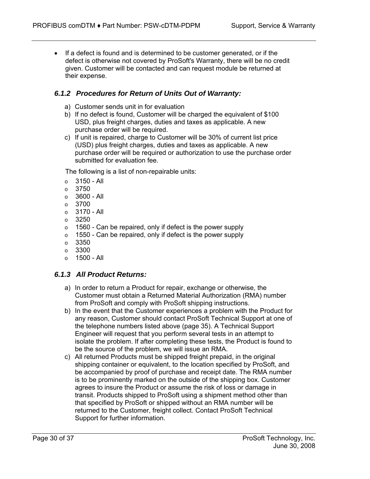• If a defect is found and is determined to be customer generated, or if the defect is otherwise not covered by ProSoft's Warranty, there will be no credit given. Customer will be contacted and can request module be returned at their expense.

## *6.1.2 Procedures for Return of Units Out of Warranty:*

- a) Customer sends unit in for evaluation
- b) If no defect is found, Customer will be charged the equivalent of \$100 USD, plus freight charges, duties and taxes as applicable. A new purchase order will be required.
- c) If unit is repaired, charge to Customer will be 30% of current list price (USD) plus freight charges, duties and taxes as applicable. A new purchase order will be required or authorization to use the purchase order submitted for evaluation fee.

The following is a list of non-repairable units:

- $\circ$  3150 All
- o 3750
- $\circ$  3600 All
- $\circ$  3700
- o 3170 All
- o 3250
- $\circ$  1560 Can be repaired, only if defect is the power supply
- $\circ$  1550 Can be repaired, only if defect is the power supply
- $\circ$  3350
- o 3300
- $\circ$  1500 All

## *6.1.3 All Product Returns:*

- a) In order to return a Product for repair, exchange or otherwise, the Customer must obtain a Returned Material Authorization (RMA) number from ProSoft and comply with ProSoft shipping instructions.
- b) In the event that the Customer experiences a problem with the Product for any reason, Customer should contact ProSoft Technical Support at one of the telephone numbers listed above (page [35\)](#page-34-0). A Technical Support Engineer will request that you perform several tests in an attempt to isolate the problem. If after completing these tests, the Product is found to be the source of the problem, we will issue an RMA.
- c) All returned Products must be shipped freight prepaid, in the original shipping container or equivalent, to the location specified by ProSoft, and be accompanied by proof of purchase and receipt date. The RMA number is to be prominently marked on the outside of the shipping box. Customer agrees to insure the Product or assume the risk of loss or damage in transit. Products shipped to ProSoft using a shipment method other than that specified by ProSoft or shipped without an RMA number will be returned to the Customer, freight collect. Contact ProSoft Technical Support for further information.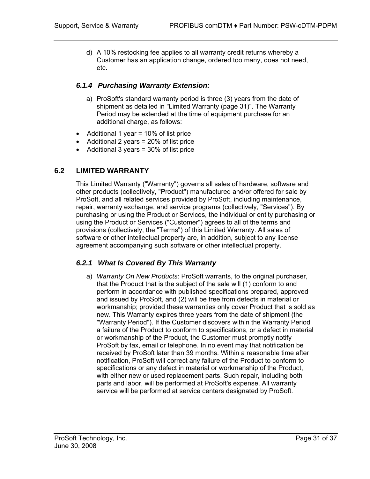d) A 10% restocking fee applies to all warranty credit returns whereby a Customer has an application change, ordered too many, does not need, etc.

#### *6.1.4 Purchasing Warranty Extension:*

- a) ProSoft's standard warranty period is three (3) years from the date of shipment as detailed in "Limited Warranty (page [31\)](#page-30-0)". The Warranty Period may be extended at the time of equipment purchase for an additional charge, as follows:
- Additional 1 year = 10% of list price
- Additional 2 years = 20% of list price
- Additional 3 years = 30% of list price

## **6.2 LIMITED WARRANTY**

<span id="page-30-0"></span>This Limited Warranty ("Warranty") governs all sales of hardware, software and other products (collectively, "Product") manufactured and/or offered for sale by ProSoft, and all related services provided by ProSoft, including maintenance, repair, warranty exchange, and service programs (collectively, "Services"). By purchasing or using the Product or Services, the individual or entity purchasing or using the Product or Services ("Customer") agrees to all of the terms and provisions (collectively, the "Terms") of this Limited Warranty. All sales of software or other intellectual property are, in addition, subject to any license agreement accompanying such software or other intellectual property.

#### *6.2.1 What Is Covered By This Warranty*

<span id="page-30-1"></span>a) *Warranty On New Products*: ProSoft warrants, to the original purchaser, that the Product that is the subject of the sale will (1) conform to and perform in accordance with published specifications prepared, approved and issued by ProSoft, and (2) will be free from defects in material or workmanship; provided these warranties only cover Product that is sold as new. This Warranty expires three years from the date of shipment (the "Warranty Period"). If the Customer discovers within the Warranty Period a failure of the Product to conform to specifications, or a defect in material or workmanship of the Product, the Customer must promptly notify ProSoft by fax, email or telephone. In no event may that notification be received by ProSoft later than 39 months. Within a reasonable time after notification, ProSoft will correct any failure of the Product to conform to specifications or any defect in material or workmanship of the Product, with either new or used replacement parts. Such repair, including both parts and labor, will be performed at ProSoft's expense. All warranty service will be performed at service centers designated by ProSoft.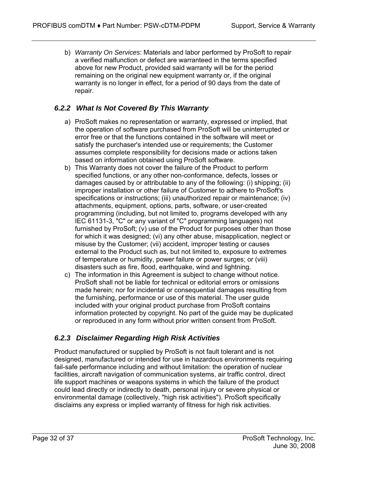b) *Warranty On Services*: Materials and labor performed by ProSoft to repair a verified malfunction or defect are warranteed in the terms specified above for new Product, provided said warranty will be for the period remaining on the original new equipment warranty or, if the original warranty is no longer in effect, for a period of 90 days from the date of repair.

## *6.2.2 What Is Not Covered By This Warranty*

- a) ProSoft makes no representation or warranty, expressed or implied, that the operation of software purchased from ProSoft will be uninterrupted or error free or that the functions contained in the software will meet or satisfy the purchaser's intended use or requirements; the Customer assumes complete responsibility for decisions made or actions taken based on information obtained using ProSoft software.
- b) This Warranty does not cover the failure of the Product to perform specified functions, or any other non-conformance, defects, losses or damages caused by or attributable to any of the following: (i) shipping; (ii) improper installation or other failure of Customer to adhere to ProSoft's specifications or instructions; (iii) unauthorized repair or maintenance; (iv) attachments, equipment, options, parts, software, or user-created programming (including, but not limited to, programs developed with any IEC 61131-3, "C" or any variant of "C" programming languages) not furnished by ProSoft; (v) use of the Product for purposes other than those for which it was designed; (vi) any other abuse, misapplication, neglect or misuse by the Customer; (vii) accident, improper testing or causes external to the Product such as, but not limited to, exposure to extremes of temperature or humidity, power failure or power surges; or (viii) disasters such as fire, flood, earthquake, wind and lightning.
- c) The information in this Agreement is subject to change without notice. ProSoft shall not be liable for technical or editorial errors or omissions made herein; nor for incidental or consequential damages resulting from the furnishing, performance or use of this material. The user guide included with your original product purchase from ProSoft contains information protected by copyright. No part of the guide may be duplicated or reproduced in any form without prior written consent from ProSoft.

## *6.2.3 Disclaimer Regarding High Risk Activities*

Product manufactured or supplied by ProSoft is not fault tolerant and is not designed, manufactured or intended for use in hazardous environments requiring fail-safe performance including and without limitation: the operation of nuclear facilities, aircraft navigation of communication systems, air traffic control, direct life support machines or weapons systems in which the failure of the product could lead directly or indirectly to death, personal injury or severe physical or environmental damage (collectively, "high risk activities"). ProSoft specifically disclaims any express or implied warranty of fitness for high risk activities.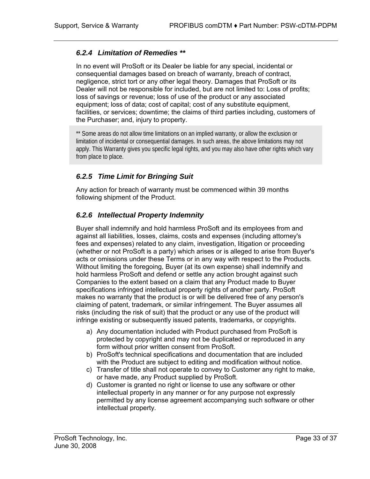#### *6.2.4 Limitation of Remedies \*\**

In no event will ProSoft or its Dealer be liable for any special, incidental or consequential damages based on breach of warranty, breach of contract, negligence, strict tort or any other legal theory. Damages that ProSoft or its Dealer will not be responsible for included, but are not limited to: Loss of profits; loss of savings or revenue; loss of use of the product or any associated equipment; loss of data; cost of capital; cost of any substitute equipment, facilities, or services; downtime; the claims of third parties including, customers of the Purchaser; and, injury to property.

\*\* Some areas do not allow time limitations on an implied warranty, or allow the exclusion or limitation of incidental or consequential damages. In such areas, the above limitations may not apply. This Warranty gives you specific legal rights, and you may also have other rights which vary from place to place.

## *6.2.5 Time Limit for Bringing Suit*

Any action for breach of warranty must be commenced within 39 months following shipment of the Product.

## *6.2.6 Intellectual Property Indemnity*

Buyer shall indemnify and hold harmless ProSoft and its employees from and against all liabilities, losses, claims, costs and expenses (including attorney's fees and expenses) related to any claim, investigation, litigation or proceeding (whether or not ProSoft is a party) which arises or is alleged to arise from Buyer's acts or omissions under these Terms or in any way with respect to the Products. Without limiting the foregoing, Buyer (at its own expense) shall indemnify and hold harmless ProSoft and defend or settle any action brought against such Companies to the extent based on a claim that any Product made to Buyer specifications infringed intellectual property rights of another party. ProSoft makes no warranty that the product is or will be delivered free of any person's claiming of patent, trademark, or similar infringement. The Buyer assumes all risks (including the risk of suit) that the product or any use of the product will infringe existing or subsequently issued patents, trademarks, or copyrights.

- a) Any documentation included with Product purchased from ProSoft is protected by copyright and may not be duplicated or reproduced in any form without prior written consent from ProSoft.
- b) ProSoft's technical specifications and documentation that are included with the Product are subject to editing and modification without notice.
- c) Transfer of title shall not operate to convey to Customer any right to make, or have made, any Product supplied by ProSoft.
- d) Customer is granted no right or license to use any software or other intellectual property in any manner or for any purpose not expressly permitted by any license agreement accompanying such software or other intellectual property.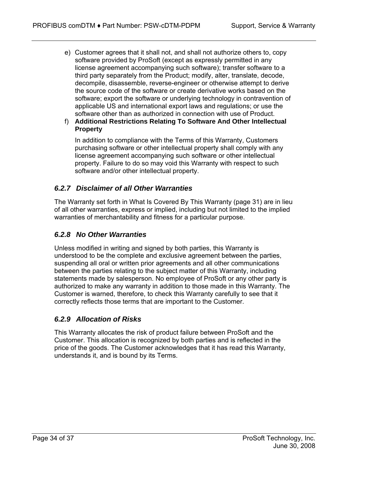- e) Customer agrees that it shall not, and shall not authorize others to, copy software provided by ProSoft (except as expressly permitted in any license agreement accompanying such software); transfer software to a third party separately from the Product; modify, alter, translate, decode, decompile, disassemble, reverse-engineer or otherwise attempt to derive the source code of the software or create derivative works based on the software; export the software or underlying technology in contravention of applicable US and international export laws and regulations; or use the software other than as authorized in connection with use of Product.
- f) **Additional Restrictions Relating To Software And Other Intellectual Property**

In addition to compliance with the Terms of this Warranty, Customers purchasing software or other intellectual property shall comply with any license agreement accompanying such software or other intellectual property. Failure to do so may void this Warranty with respect to such software and/or other intellectual property.

## *6.2.7 Disclaimer of all Other Warranties*

The Warranty set forth in What Is Covered By This Warranty (page [31\)](#page-30-1) are in lieu of all other warranties, express or implied, including but not limited to the implied warranties of merchantability and fitness for a particular purpose.

## *6.2.8 No Other Warranties*

Unless modified in writing and signed by both parties, this Warranty is understood to be the complete and exclusive agreement between the parties, suspending all oral or written prior agreements and all other communications between the parties relating to the subject matter of this Warranty, including statements made by salesperson. No employee of ProSoft or any other party is authorized to make any warranty in addition to those made in this Warranty. The Customer is warned, therefore, to check this Warranty carefully to see that it correctly reflects those terms that are important to the Customer.

## *6.2.9 Allocation of Risks*

This Warranty allocates the risk of product failure between ProSoft and the Customer. This allocation is recognized by both parties and is reflected in the price of the goods. The Customer acknowledges that it has read this Warranty, understands it, and is bound by its Terms.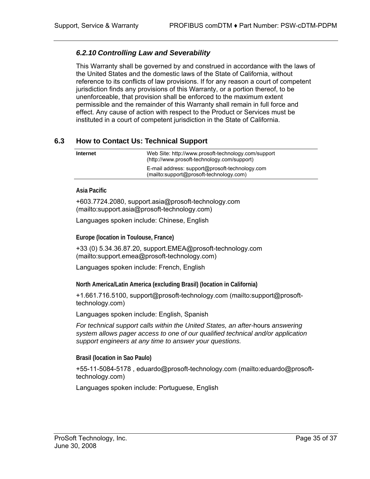## *6.2.10 Controlling Law and Severability*

This Warranty shall be governed by and construed in accordance with the laws of the United States and the domestic laws of the State of California, without reference to its conflicts of law provisions. If for any reason a court of competent jurisdiction finds any provisions of this Warranty, or a portion thereof, to be unenforceable, that provision shall be enforced to the maximum extent permissible and the remainder of this Warranty shall remain in full force and effect. Any cause of action with respect to the Product or Services must be instituted in a court of competent jurisdiction in the State of California.

## **6.3 How to Contact Us: Technical Support**

<span id="page-34-0"></span>

| Internet | Web Site: http://www.prosoft-technology.com/support<br>(http://www.prosoft-technology.com/support) |
|----------|----------------------------------------------------------------------------------------------------|
|          | E-mail address: support@prosoft-technology.com<br>(mailto:support@prosoft-technology.com)          |

**Asia Pacific** 

+603.7724.2080, support.asia@prosoft-technology.com ([mailto:support.asia@prosoft-technology.com\)](mailto:support.asia@prosoft-technology.com)

Languages spoken include: Chinese, English

**Europe (location in Toulouse, France)** 

+33 (0) 5.34.36.87.20, support.EMEA@prosoft-technology.com ([mailto:support.emea@prosoft-technology.com\)](mailto:support.emea@prosoft-technology.com) 

Languages spoken include: French, English

**North America/Latin America (excluding Brasil) (location in California)** 

+1.661.716.5100, support@prosoft-technology.com ([mailto:support@prosoft](mailto:support@prosoft-technology.com)[technology.com\)](mailto:support@prosoft-technology.com)

Languages spoken include: English, Spanish

*For technical support calls within the United States, an after-*hours *answering system allows pager access to one of our qualified technical and/or application support engineers at any time to answer your questions.*

**Brasil (location in Sao Paulo)** 

+55-11-5084-5178 , eduardo@prosoft-technology.com ([mailto:eduardo@prosoft](mailto:eduardo@prosoft-technology.com)[technology.com\)](mailto:eduardo@prosoft-technology.com)

Languages spoken include: Portuguese, English